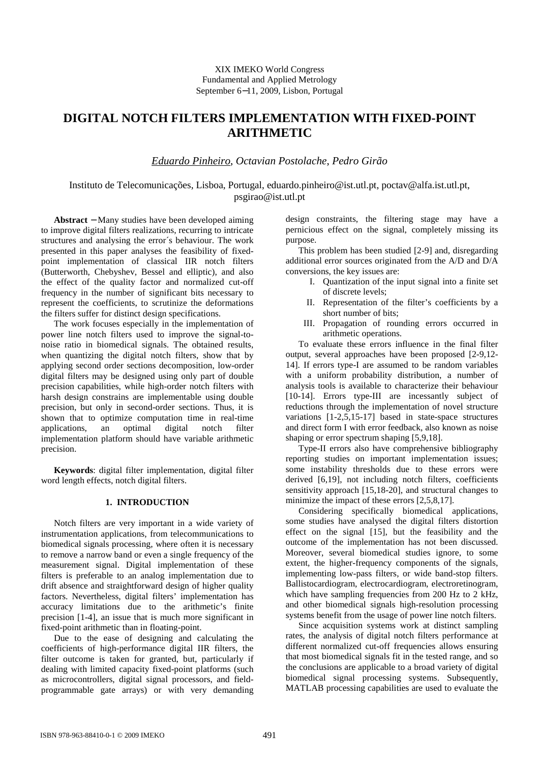# **DIGITAL NOTCH FILTERS IMPLEMENTATION WITH FIXED-POINT ARITHMETIC**

*Eduardo Pinheiro*, *Octavian Postolache*, *Pedro Girão*

Instituto de Telecomunicações, Lisboa, Portugal, eduardo.pinheiro@ist.utl.pt, poctav@alfa.ist.utl.pt, psgirao@ist.utl.pt

**Abstract** − Many studies have been developed aiming to improve digital filters realizations, recurring to intricate structures and analysing the error´s behaviour. The work presented in this paper analyses the feasibility of fixedpoint implementation of classical IIR notch filters (Butterworth, Chebyshev, Bessel and elliptic), and also the effect of the quality factor and normalized cut-off frequency in the number of significant bits necessary to represent the coefficients, to scrutinize the deformations the filters suffer for distinct design specifications.

The work focuses especially in the implementation of power line notch filters used to improve the signal-tonoise ratio in biomedical signals. The obtained results, when quantizing the digital notch filters, show that by applying second order sections decomposition, low-order digital filters may be designed using only part of double precision capabilities, while high-order notch filters with harsh design constrains are implementable using double precision, but only in second-order sections. Thus, it is shown that to optimize computation time in real-time applications, an optimal digital notch filter implementation platform should have variable arithmetic precision.

**Keywords**: digital filter implementation, digital filter word length effects, notch digital filters.

# **1. INTRODUCTION**

Notch filters are very important in a wide variety of instrumentation applications, from telecommunications to biomedical signals processing, where often it is necessary to remove a narrow band or even a single frequency of the measurement signal. Digital implementation of these filters is preferable to an analog implementation due to drift absence and straightforward design of higher quality factors. Nevertheless, digital filters' implementation has accuracy limitations due to the arithmetic's finite precision [1-4], an issue that is much more significant in fixed-point arithmetic than in floating-point.

Due to the ease of designing and calculating the coefficients of high-performance digital IIR filters, the filter outcome is taken for granted, but, particularly if dealing with limited capacity fixed-point platforms (such as microcontrollers, digital signal processors, and fieldprogrammable gate arrays) or with very demanding

design constraints, the filtering stage may have a pernicious effect on the signal, completely missing its purpose.

This problem has been studied [2-9] and, disregarding additional error sources originated from the A/D and D/A conversions, the key issues are:

- I. Quantization of the input signal into a finite set of discrete levels;
- II. Representation of the filter's coefficients by a short number of bits;
- III. Propagation of rounding errors occurred in arithmetic operations.

To evaluate these errors influence in the final filter output, several approaches have been proposed [2-9,12- 14]. If errors type-I are assumed to be random variables with a uniform probability distribution, a number of analysis tools is available to characterize their behaviour [10-14]. Errors type-III are incessantly subject of reductions through the implementation of novel structure variations [1-2,5,15-17] based in state-space structures and direct form I with error feedback, also known as noise shaping or error spectrum shaping [5,9,18].

Type-II errors also have comprehensive bibliography reporting studies on important implementation issues; some instability thresholds due to these errors were derived [6,19], not including notch filters, coefficients sensitivity approach [15,18-20], and structural changes to minimize the impact of these errors [2,5,8,17].

Considering specifically biomedical applications, some studies have analysed the digital filters distortion effect on the signal [15], but the feasibility and the outcome of the implementation has not been discussed. Moreover, several biomedical studies ignore, to some extent, the higher-frequency components of the signals, implementing low-pass filters, or wide band-stop filters. Ballistocardiogram, electrocardiogram, electroretinogram, which have sampling frequencies from 200 Hz to 2 kHz, and other biomedical signals high-resolution processing systems benefit from the usage of power line notch filters.

Since acquisition systems work at distinct sampling rates, the analysis of digital notch filters performance at different normalized cut-off frequencies allows ensuring that most biomedical signals fit in the tested range, and so the conclusions are applicable to a broad variety of digital biomedical signal processing systems. Subsequently, MATLAB processing capabilities are used to evaluate the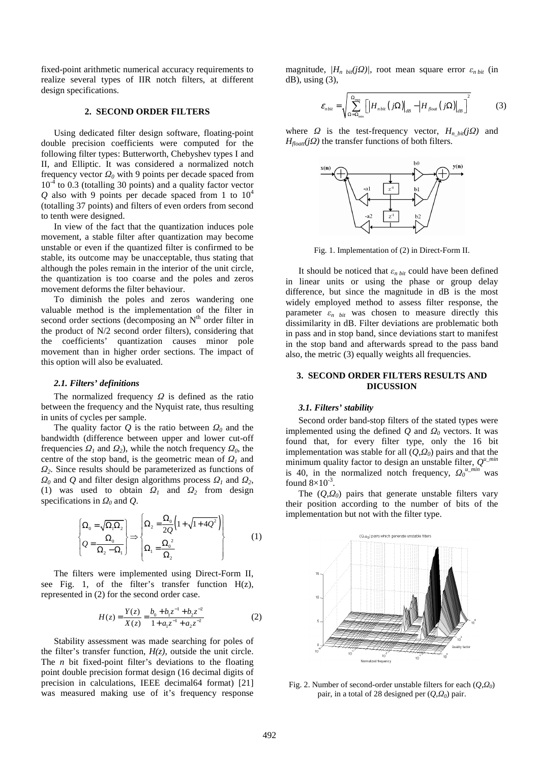fixed-point arithmetic numerical accuracy requirements to realize several types of IIR notch filters, at different design specifications.

#### **2. SECOND ORDER FILTERS**

Using dedicated filter design software, floating-point double precision coefficients were computed for the following filter types: Butterworth, Chebyshev types I and II, and Elliptic. It was considered a normalized notch frequency vector *Ω0* with 9 points per decade spaced from  $10^{-4}$  to 0.3 (totalling 30 points) and a quality factor vector *Q* also with 9 points per decade spaced from 1 to  $10^4$ (totalling 37 points) and filters of even orders from second to tenth were designed.

In view of the fact that the quantization induces pole movement, a stable filter after quantization may become unstable or even if the quantized filter is confirmed to be stable, its outcome may be unacceptable, thus stating that although the poles remain in the interior of the unit circle, the quantization is too coarse and the poles and zeros movement deforms the filter behaviour.

To diminish the poles and zeros wandering one valuable method is the implementation of the filter in second order sections (decomposing an  $N<sup>th</sup>$  order filter in the product of N/2 second order filters), considering that the coefficients' quantization causes minor pole movement than in higher order sections. The impact of this option will also be evaluated.

#### *2.1. Filters' definitions*

The normalized frequency *Ω* is defined as the ratio between the frequency and the Nyquist rate, thus resulting in units of cycles per sample.

The quality factor *Q* is the ratio between *Ω0* and the bandwidth (difference between upper and lower cut-off frequencies  $\Omega_1$  and  $\Omega_2$ ), while the notch frequency  $\Omega_0$ , the centre of the stop band, is the geometric mean of *Ω1* and *Ω2*. Since results should be parameterized as functions of *Ω*<sup>0</sup> and *Q* and filter design algorithms process  $Ω$ <sup>1</sup> and  $Ω$ <sup>2</sup>, (1) was used to obtain *Ω1* and *Ω2* from design specifications in *Ω0* and *Q*.

$$
\left\{\Omega_0 = \sqrt{\Omega_1 \Omega_2} \atop Q = \frac{\Omega_0}{\Omega_2 - \Omega_1}\right\} \Rightarrow \left\{\Omega_2 = \frac{\Omega_0}{2Q} \left(1 + \sqrt{1 + 4Q^2}\right) \atop \Omega_1 = \frac{\Omega_0^2}{\Omega_2}\right\} \tag{1}
$$

The filters were implemented using Direct-Form II, see Fig. 1, of the filter's transfer function  $H(z)$ , represented in (2) for the second order case.

$$
H(z) = \frac{Y(z)}{X(z)} = \frac{b_0 + b_1 z^{-1} + b_2 z^{-2}}{1 + a_1 z^{-1} + a_2 z^{-2}}
$$
 (2)

Stability assessment was made searching for poles of the filter's transfer function,  $H(z)$ , outside the unit circle. The *n* bit fixed-point filter's deviations to the floating point double precision format design (16 decimal digits of precision in calculations, IEEE decimal64 format) [21] was measured making use of it's frequency response

magnitude,  $/H_n$  bit*(jQ)*, root mean square error  $\varepsilon_n$  bit (in  $dB$ ), using  $(3)$ ,

$$
\varepsilon_{n\,bi} = \sqrt{\sum_{\Omega=\Omega_{\text{min}}}\left[ \left| H_{n\,bi} \left( j\Omega \right) \right|_{dB} - \left| H_{f_{\text{load}}}\left( j\Omega \right) \right|_{dB} \right]^2} \tag{3}
$$

where *Ω* is the test-frequency vector,  $H_n_{bit}(jQ)$  and  $H_{float}(j\Omega)$  the transfer functions of both filters.



Fig. 1. Implementation of (2) in Direct-Form II.

It should be noticed that  $\varepsilon_{n \, bit}$  could have been defined in linear units or using the phase or group delay difference, but since the magnitude in dB is the most widely employed method to assess filter response, the parameter  $\varepsilon_n$  bit was chosen to measure directly this dissimilarity in dB. Filter deviations are problematic both in pass and in stop band, since deviations start to manifest in the stop band and afterwards spread to the pass band also, the metric (3) equally weights all frequencies.

#### **3. SECOND ORDER FILTERS RESULTS AND DICUSSION**

#### *3.1. Filters' stability*

Second order band-stop filters of the stated types were implemented using the defined  $Q$  and  $Q_0$  vectors. It was found that, for every filter type, only the 16 bit implementation was stable for all (*Q*,*Ω0*) pairs and that the minimum quality factor to design an unstable filter,  $Q^{u\_min}$ is 40, in the normalized notch frequency,  $Q_0^{u\_min}$  was found  $8 \times 10^{-3}$ .

The  $(Q, \Omega_0)$  pairs that generate unstable filters vary their position according to the number of bits of the implementation but not with the filter type.



Fig. 2. Number of second-order unstable filters for each (*Q*,*Ω<sup>0</sup>* ) pair, in a total of 28 designed per (*Q*,*Ω<sup>0</sup>* ) pair.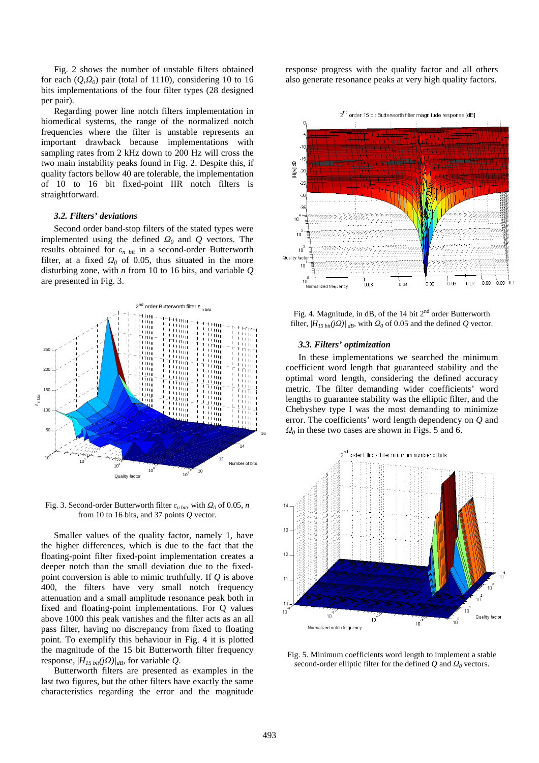Fig. 2 shows the number of unstable filters obtained for each  $(Q, Q_0)$  pair (total of 1110), considering 10 to 16 bits implementations of the four filter types (28 designed per pair).

Regarding power line notch filters implementation in biomedical systems, the range of the normalized notch frequencies where the filter is unstable represents an important drawback because implementations with sampling rates from 2 kHz down to 200 Hz will cross the two main instability peaks found in Fig. 2. Despite this, if quality factors bellow 40 are tolerable, the implementation of 10 to 16 bit fixed-point IIR notch filters is straightforward.

#### *3.2. Filters' deviations*

Second order band-stop filters of the stated types were implemented using the defined *Ω0* and *Q* vectors. The results obtained for *εn bit* in a second-order Butterworth filter, at a fixed *Ω0* of 0.05, thus situated in the more disturbing zone, with *n* from 10 to 16 bits, and variable *Q* are presented in Fig. 3.



Fig. 3. Second-order Butterworth filter  $\varepsilon_{n \, bit}$ , with  $\Omega_0$  of 0.05, *n* from 10 to 16 bits, and 37 points *Q* vector.

Smaller values of the quality factor, namely 1, have the higher differences, which is due to the fact that the floating-point filter fixed-point implementation creates a deeper notch than the small deviation due to the fixedpoint conversion is able to mimic truthfully. If *Q* is above 400, the filters have very small notch frequency attenuation and a small amplitude resonance peak both in fixed and floating-point implementations. For Q values above 1000 this peak vanishes and the filter acts as an all pass filter, having no discrepancy from fixed to floating point. To exemplify this behaviour in Fig. 4 it is plotted the magnitude of the 15 bit Butterworth filter frequency response,  $|H_{15 \text{ bit}}(i\Omega)|_{dB}$ , for variable *Q*.

Butterworth filters are presented as examples in the last two figures, but the other filters have exactly the same characteristics regarding the error and the magnitude

response progress with the quality factor and all others also generate resonance peaks at very high quality factors.



Fig. 4. Magnitude, in dB, of the 14 bit 2<sup>nd</sup> order Butterworth filter,  $|H_{15 \text{ bit}}(j\Omega)|_{dB}$ , with  $\Omega_0$  of 0.05 and the defined *Q* vector.

#### *3.3. Filters' optimization*

In these implementations we searched the minimum coefficient word length that guaranteed stability and the optimal word length, considering the defined accuracy metric. The filter demanding wider coefficients' word lengths to guarantee stability was the elliptic filter, and the Chebyshev type I was the most demanding to minimize error. The coefficients' word length dependency on *Q* and  $Q_0$  in these two cases are shown in Figs. 5 and 6.



Fig. 5*.* Minimum coefficients word length to implement a stable  $\frac{1}{\sqrt{2}}$  second-order elliptic filter for the defined *Q* and  $\Omega_0$  vectors.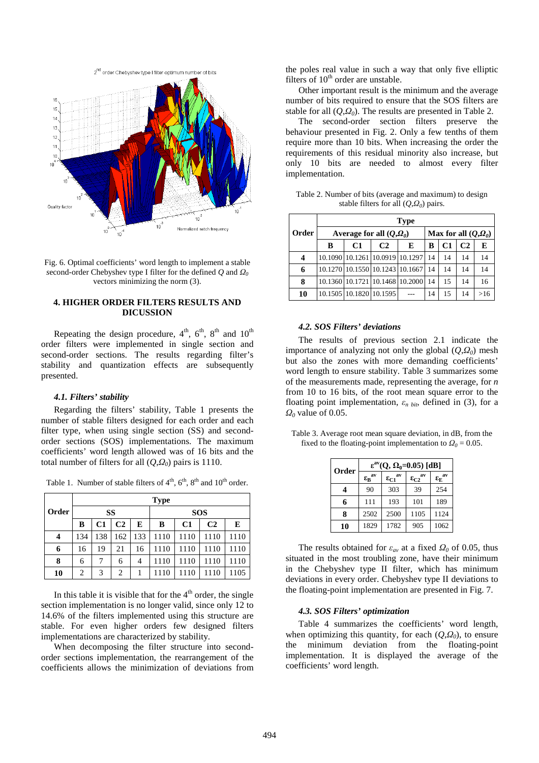

Fig. 6*.* Optimal coefficients' word length to implement a stable *s*econd-order Chebyshev type I filter for the defined *Q* and *Ω<sup>0</sup>* vectors minimizing the norm (3).

# **4. HIGHER ORDER FILTERS RESULTS AND DICUSSION**

Repeating the design procedure,  $4<sup>th</sup>$ ,  $6<sup>th</sup>$ ,  $8<sup>th</sup>$  and  $10<sup>th</sup>$ order filters were implemented in single section and second-order sections. The results regarding filter's stability and quantization effects are subsequently presented.

#### *4.1. Filters' stability*

Regarding the filters' stability, Table 1 presents the number of stable filters designed for each order and each filter type, when using single section (SS) and secondorder sections (SOS) implementations. The maximum coefficients' word length allowed was of 16 bits and the total number of filters for all (*Q*,*Ω0*) pairs is 1110.

Table 1. Number of stable filters of  $4<sup>th</sup>$ ,  $6<sup>th</sup>$ ,  $8<sup>th</sup>$  and  $10<sup>th</sup>$  order.

|       | <b>Type</b>    |     |     |     |            |      |                |      |
|-------|----------------|-----|-----|-----|------------|------|----------------|------|
| Order | SS             |     |     |     | <b>SOS</b> |      |                |      |
|       | в              | C1  | C2  | E   | В          | C1   | C <sub>2</sub> | E    |
| 4     | 134            | 138 | 162 | 133 | 1110       | 1110 | 1110           | 1110 |
| 6     | 16             | 19  | 21  | 16  | 1110       | 1110 | 1110           | 1110 |
| 8     | 6              | 7   | 6   | 4   | 1110       | 1110 | 1110           | 1110 |
| 10    | $\overline{c}$ | 3   | 2   |     | 1110       | 1110 | 1110           | 1105 |

In this table it is visible that for the  $4<sup>th</sup>$  order, the single section implementation is no longer valid, since only 12 to 14.6% of the filters implemented using this structure are stable. For even higher orders few designed filters implementations are characterized by stability.

When decomposing the filter structure into secondorder sections implementation, the rearrangement of the coefficients allows the minimization of deviations from the poles real value in such a way that only five elliptic filters of  $10<sup>th</sup>$  order are unstable.

Other important result is the minimum and the average number of bits required to ensure that the SOS filters are stable for all  $(Q, Q_0)$ . The results are presented in Table 2.

The second-order section filters preserve the behaviour presented in Fig. 2. Only a few tenths of them require more than 10 bits. When increasing the order the requirements of this residual minority also increase, but only 10 bits are needed to almost every filter implementation.

Table 2. Number of bits (average and maximum) to design stable filters for all (*Q*,*Ω<sup>0</sup>* ) pairs.

|       | <b>Type</b>                |                         |                |                                 |    |                                 |                |     |  |
|-------|----------------------------|-------------------------|----------------|---------------------------------|----|---------------------------------|----------------|-----|--|
| Order | Average for all $(O, Q_0)$ |                         |                |                                 |    | Max for all $(Q,\mathcal{Q}_0)$ |                |     |  |
|       | в                          | C <sub>1</sub>          | C <sub>2</sub> | E                               | в  | C1                              | C <sub>2</sub> | E   |  |
| 4     |                            |                         |                | 10.1090 10.1261 10.0919 10.1297 | 14 | 14                              | 14             | 14  |  |
| 6     |                            |                         |                | 10.1270 10.1550 10.1243 10.1667 | 14 | 14                              | 14             | 14  |  |
| 8     |                            |                         |                | 10.1360 10.1721 10.1468 10.2000 | 14 | 15                              | 14             | 16  |  |
| 10    |                            | 10.1505 10.1820 10.1595 |                |                                 | 14 | 15                              | 14             | >16 |  |

#### *4.2. SOS Filters' deviations*

The results of previous section 2.1 indicate the importance of analyzing not only the global (*Q*,*Ω0*) mesh but also the zones with more demanding coefficients' word length to ensure stability. Table 3 summarizes some of the measurements made, representing the average, for *n* from 10 to 16 bits, of the root mean square error to the floating point implementation,  $\varepsilon_n$  bit, defined in (3), for a *Ω0* value of 0.05.

Table 3. Average root mean square deviation, in dB, from the fixed to the floating-point implementation to  $Q_0 = 0.05$ .

| Order | $\varepsilon^{av}(Q, \Omega_0=0.05)$ [dB] |                      |                      |                              |  |  |
|-------|-------------------------------------------|----------------------|----------------------|------------------------------|--|--|
|       | $\epsilon_B^{\phantom{B}av}$              | $\epsilon_{C1}^{av}$ | $\epsilon_{C2}^{av}$ | $\epsilon_E^{\phantom{E}av}$ |  |  |
| 4     | 90                                        | 303                  | 39                   | 254                          |  |  |
| 6     | 111                                       | 193                  | 101                  | 189                          |  |  |
| 8     | 2502                                      | 2500                 | 1105                 | 1124                         |  |  |
| 10    | 1829                                      | 1782                 | 905                  | 1062                         |  |  |

The results obtained for  $\varepsilon_{av}$  at a fixed  $\Omega_0$  of 0.05, thus situated in the most troubling zone, have their minimum in the Chebyshev type II filter, which has minimum deviations in every order. Chebyshev type II deviations to the floating-point implementation are presented in Fig. 7.

#### *4.3. SOS Filters' optimization*

Table 4 summarizes the coefficients' word length, when optimizing this quantity, for each  $(Q, Q_0)$ , to ensure the minimum deviation from the floating-point implementation. It is displayed the average of the coefficients' word length.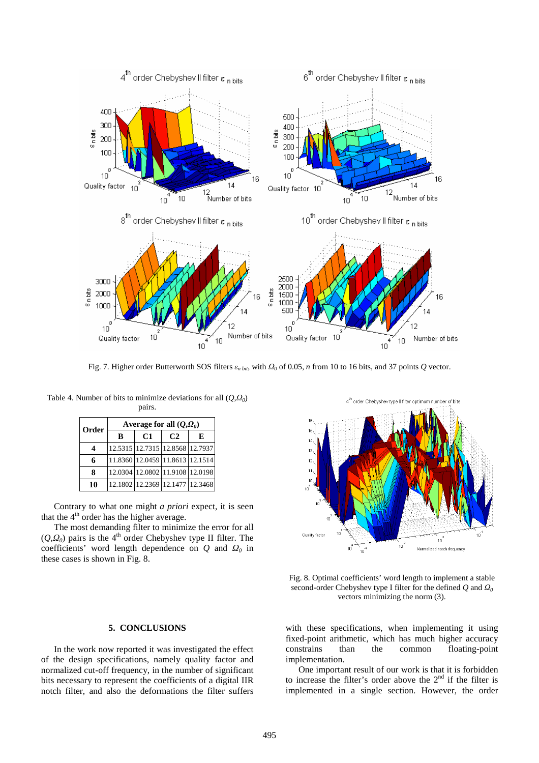

Fig. 7. Higher order Butterworth SOS filters  $\varepsilon_{n \, bin}$ , with  $\Omega_0$  of 0.05, *n* from 10 to 16 bits, and 37 points  $Q$  vector.

Table 4. Number of bits to minimize deviations for all (*Q*,*Ω<sup>0</sup>* ) pairs.

| Order                 | Average for all $(Q, Q_0)$ |                                 |    |   |  |  |  |
|-----------------------|----------------------------|---------------------------------|----|---|--|--|--|
|                       | B                          | C1                              | C2 | Е |  |  |  |
| $\boldsymbol{\Delta}$ |                            | 12.5315 12.7315 12.8568 12.7937 |    |   |  |  |  |
| 6                     |                            | 11.8360 12.0459 11.8613 12.1514 |    |   |  |  |  |
| 8                     |                            | 12.0304 12.0802 11.9108 12.0198 |    |   |  |  |  |
| 10                    |                            | 12.1802 12.2369 12.1477 12.3468 |    |   |  |  |  |

Contrary to what one might *a priori* expect, it is seen that the  $4<sup>th</sup>$  order has the higher average.

The most demanding filter to minimize the error for all (*Q*,*Ω0*) pairs is the 4th order Chebyshev type II filter. The coefficients' word length dependence on *Q* and *Ω0* in these cases is shown in Fig. 8.

# $15$  $\frac{1}{4}$  $13$  $\frac{1}{2}$ Quality factor  $\overline{10}^3$ Normalized notch frequency  $\frac{1}{10}$

order Chebyshev type Il filte

number of bits

Fig. 8*.* Optimal coefficients' word length to implement a stable *s*econd-order Chebyshev type I filter for the defined *Q* and *Ω<sup>0</sup>* vectors minimizing the norm (3).

### with these specifications, when implementing it using fixed-point arithmetic, which has much higher accuracy floating-point implementation.

One important result of our work is that it is forbidden to increase the filter's order above the  $2<sup>nd</sup>$  if the filter is implemented in a single section. However, the order

# **5. CONCLUSIONS**

In the work now reported it was investigated the effect of the design specifications, namely quality factor and normalized cut-off frequency, in the number of significant bits necessary to represent the coefficients of a digital IIR notch filter, and also the deformations the filter suffers